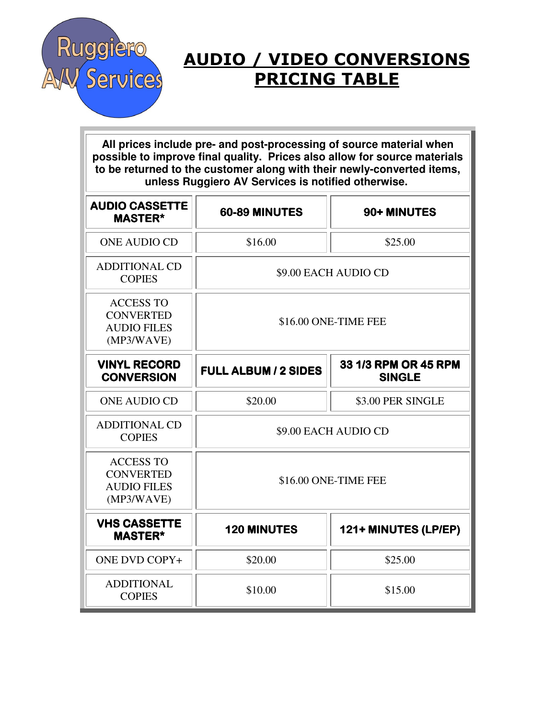

## AUDIO / VIDEO CONVERSIONS PRICING TABLE

**All prices include pre- and post-processing of source material when possible to improve final quality. Prices also allow for source materials to be returned to the customer along with their newly-converted items, unless Ruggiero AV Services is notified otherwise.** 

| <b>AUDIO CASSETTE</b><br><b>MASTER*</b>                                  | 60-89 MINUTES               | 90+ MINUTES                           |
|--------------------------------------------------------------------------|-----------------------------|---------------------------------------|
| <b>ONE AUDIO CD</b>                                                      | \$16.00                     | \$25.00                               |
| <b>ADDITIONAL CD</b><br><b>COPIES</b>                                    | \$9.00 EACH AUDIO CD        |                                       |
| <b>ACCESS TO</b><br><b>CONVERTED</b><br><b>AUDIO FILES</b><br>(MP3/WAVE) | \$16.00 ONE-TIME FEE        |                                       |
| <b>VINYL RECORD</b><br><b>CONVERSION</b>                                 | <b>FULL ALBUM / 2 SIDES</b> | 33 1/3 RPM OR 45 RPM<br><b>SINGLE</b> |
| <b>ONE AUDIO CD</b>                                                      | \$20.00                     | \$3.00 PER SINGLE                     |
| <b>ADDITIONAL CD</b><br><b>COPIES</b>                                    | \$9.00 EACH AUDIO CD        |                                       |
| <b>ACCESS TO</b><br><b>CONVERTED</b><br><b>AUDIO FILES</b><br>(MP3/WAVE) | \$16.00 ONE-TIME FEE        |                                       |
| <b>VHS CASSETTE</b><br><b>MASTER*</b>                                    | <b>120 MINUTES</b>          | 121+ MINUTES (LP/EP)                  |
| <b>ONE DVD COPY+</b>                                                     | \$20.00                     | \$25.00                               |
| <b>ADDITIONAL</b><br><b>COPIES</b>                                       | \$10.00                     | \$15.00                               |